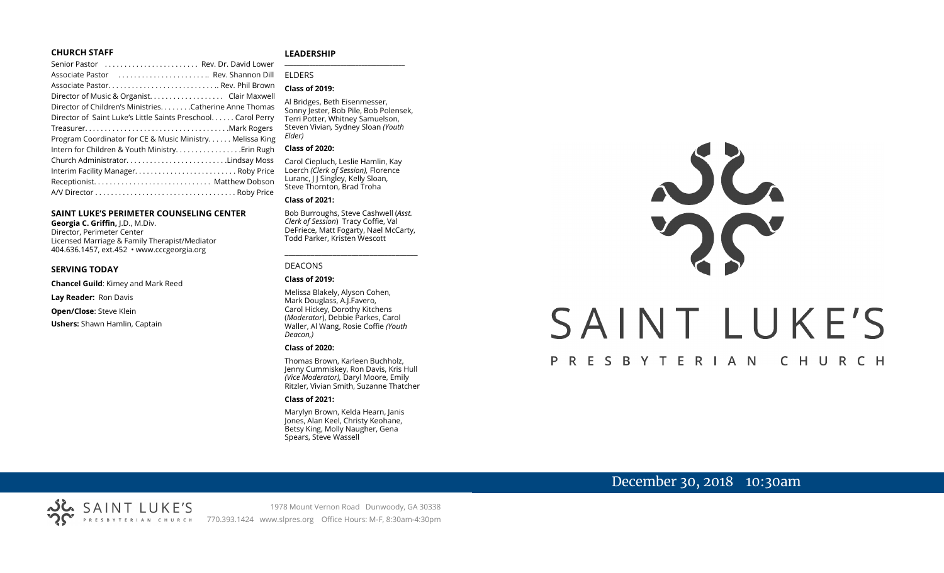#### **CHURCH STAFF**

| Senior Pastor  Rev. Dr. David Lower                          |
|--------------------------------------------------------------|
| Associate Pastor  Rev. Shannon Dill                          |
|                                                              |
| Director of Music & Organist. Clair Maxwell                  |
| Director of Children's Ministries. Catherine Anne Thomas     |
| Director of Saint Luke's Little Saints Preschool Carol Perry |
|                                                              |
| Program Coordinator for CE & Music Ministry Melissa King     |
| Intern for Children & Youth Ministry Erin Rugh               |
| Church AdministratorLindsay Moss                             |
| Interim Facility Manager Roby Price                          |
|                                                              |
|                                                              |

#### **SAINT LUKE'S PERIMETER COUNSELING CENTER**

**Georgia C. Griffin,** J.D., M.Div. Director, Perimeter Center Licensed Marriage & Family Therapist/Mediator 404.636.1457, ext.452 • www.cccgeorgia.org

#### **SERVING TODAY**

**Chancel Guild**: Kimey and Mark Reed

**Lay Reader:** Ron Davis

**Open/Close**: Steve Klein

**Ushers:** Shawn Hamlin, Captain

#### **LEADERSHIP**

#### ELDERS

#### **Class of 2019:**

Al Bridges, Beth Eisenmesser, Sonny Jester, Bob Pile, Bob Polensek, Terri Potter, Whitney Samuelson, Steven Vivian*,* Sydney Sloan *(Youth Elder)*

**\_\_\_\_\_\_\_\_\_\_\_\_\_\_\_\_\_\_\_\_\_\_\_\_\_\_\_\_\_\_\_\_\_\_\_\_\_\_\_**

#### **Class of 2020:**

Carol Ciepluch, Leslie Hamlin, Kay Loerch *(Clerk of Session),* Florence Luranc, I J Singley, Kelly Sloan, Steve Thornton, Brad Troha

#### **Class of 2021:**

Bob Burroughs, Steve Cashwell (*Asst. Clerk of Session*) Tracy Coffie, Val DeFriece, Matt Fogarty, Nael McCarty, Todd Parker, Kristen Wescott

\_\_\_\_\_\_\_\_\_\_\_\_\_\_\_\_\_\_\_\_\_\_\_\_\_\_\_\_\_\_\_\_\_\_\_\_

#### DEACONS

**Class of 2019:**

Melissa Blakely, Alyson Cohen, Mark Douglass, A.J.Favero, Carol Hickey, Dorothy Kitchens (*Moderator*), Debbie Parkes, Carol Waller, Al Wang, Rosie Coffie *(Youth Deacon,)* 

#### **Class of 2020:**

Thomas Brown, Karleen Buchholz, Jenny Cummiskey, Ron Davis, Kris Hull *(Vice Moderator),* Daryl Moore, Emily Ritzler, Vivian Smith, Suzanne Thatcher

#### **Class of 2021:**

Marylyn Brown, Kelda Hearn, Janis Jones, Alan Keel, Christy Keohane, Betsy King, Molly Naugher, Gena Spears, Steve Wassell



# SAINT LUKE'S

#### P R E S B Y T E R I A N CHURCH

# December 30, 2018 10:30am

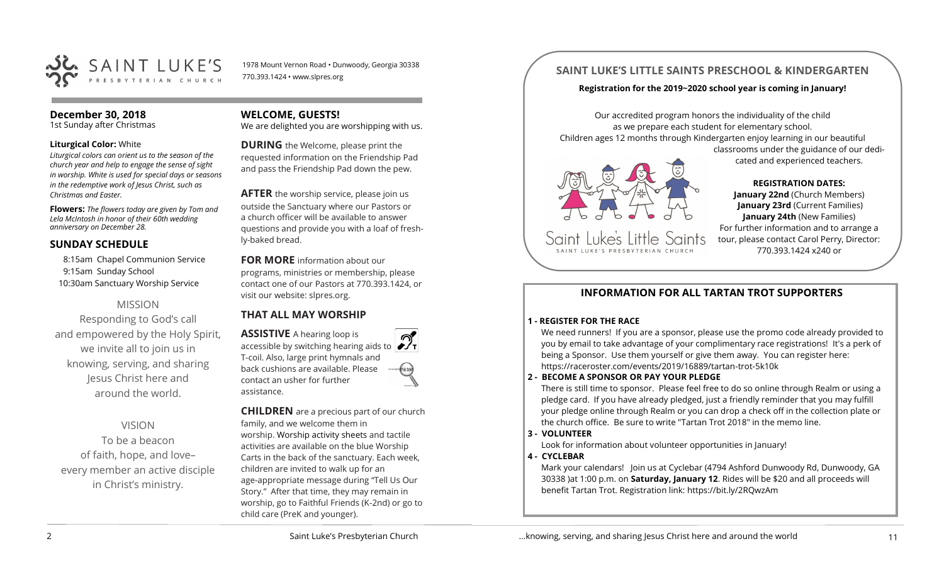

1978 Mount Vernon Road • Dunwoody, Georgia 30338 770.393.1424 • www.slpres.org

#### **December 30, 2018**

1st Sunday after Christmas

#### **Liturgical Color:** White

*Liturgical colors can orient us to the season of the church year and help to engage the sense of sight in worship. White is used for special days or seasons in the redemptive work of Jesus Christ, such as Christmas and Easter.*

**Flowers:** *The flowers today are given by Tom and Lela McIntosh in honor of their 60th wedding anniversary on December 28.*

#### **SUNDAY SCHEDULE**

8:15am Chapel Communion Service 9:15am Sunday School 10:30am Sanctuary Worship Service

#### MISSION

Responding to God's call and empowered by the Holy Spirit, we invite all to join us in knowing, serving, and sharing Jesus Christ here and around the world.

# VISION

To be a beacon of faith, hope, and love– every member an active disciple in Christ's ministry.

#### **WELCOME, GUESTS!**

We are delighted you are worshipping with us.

**DURING** the Welcome, please print the requested information on the Friendship Pad and pass the Friendship Pad down the pew.

**AFTER** the worship service, please join us outside the Sanctuary where our Pastors or a church officer will be available to answer questions and provide you with a loaf of freshly-baked bread.

**FOR MORE** information about our programs, ministries or membership, please contact one of our Pastors at 770.393.1424, or visit our website: slpres.org.

# **THAT ALL MAY WORSHIP**

**ASSISTIVE** A hearing loop is accessible by switching hearing aids to T-coil. Also, large print hymnals and back cushions are available. Please contact an usher for further assistance.

**CHILDREN** are a precious part of our church family, and we welcome them in worship. Worship activity sheets and tactile activities are available on the blue Worship Carts in the back of the sanctuary. Each week, children are invited to walk up for an age-appropriate message during "Tell Us Our Story." After that time, they may remain in worship, go to Faithful Friends (K-2nd) or go to child care (PreK and younger).

# **SAINT LUKE'S LITTLE SAINTS PRESCHOOL & KINDERGARTEN**

#### **Registration for the 2019~2020 school year is coming in January!**

Our accredited program honors the individuality of the child as we prepare each student for elementary school. Children ages 12 months through Kindergarten enjoy learning in our beautiful



Saint Luke's Little Saints

**REGISTRATION DATES: January 22nd** (Church Members) **January 23rd** (Current Families) **January 24th** (New Families) For further information and to arrange a tour, please contact Carol Perry, Director: 770.393.1424 x240 or

classrooms under the guidance of our dedicated and experienced teachers.

#### **INFORMATION FOR ALL TARTAN TROT SUPPORTERS**

#### **1 - REGISTER FOR THE RACE**

We need runners! If you are a sponsor, please use the promo code already provided to you by email to take advantage of your complimentary race registrations! It's a perk of being a Sponsor. Use them yourself or give them away. You can register here: [https://raceroster.com/events/2019/16889/tartan](https://raceroster.com/events/2019/16889/tartan-trot-5k10k)-trot-5k10k

#### **2 - BECOME A SPONSOR OR PAY YOUR PLEDGE**

There is still time to sponsor. Please feel free to do so online through Realm or using a pledge card. If you have already pledged, just a friendly reminder that you may fulfill your pledge online through Realm or you can drop a check off in the collection plate or the church office. Be sure to write "Tartan Trot 2018" in the memo line.

#### **3 - VOLUNTEER**

Look for information about volunteer opportunities in January!

#### **4 - CYCLEBAR**

Mark your calendars! Join us at Cyclebar (4794 Ashford Dunwoody Rd, Dunwoody, GA 30338 )at 1:00 p.m. on **Saturday, January 12**. Rides will be \$20 and all proceeds will benefit Tartan Trot. Registration link: <https://bit.ly/2RQwzAm>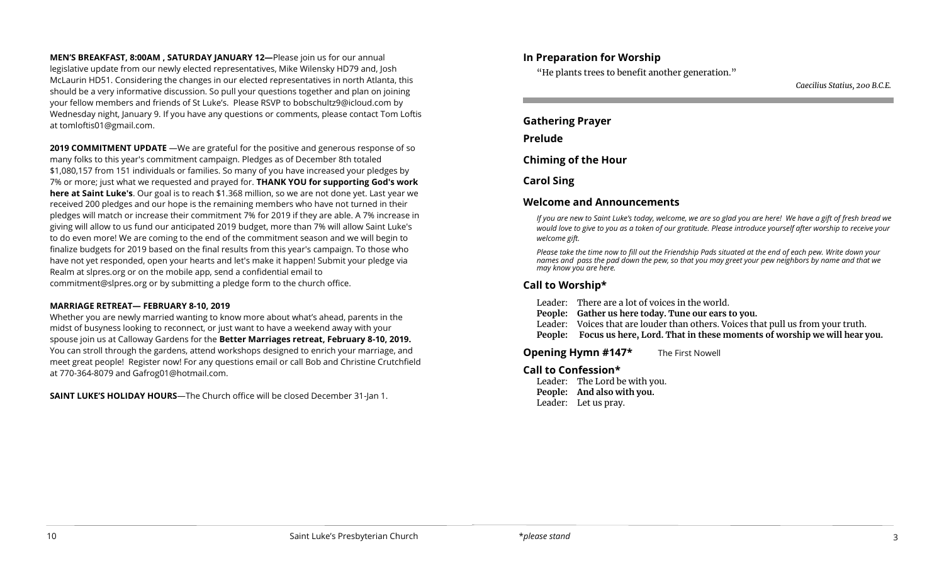**MEN'S BREAKFAST, 8:00AM , SATURDAY JANUARY 12—**Please join us for our annual legislative update from our newly elected representatives, Mike Wilensky HD79 and, Josh McLaurin HD51. Considering the changes in our elected representatives in north Atlanta, this should be a very informative discussion. So pull your questions together and plan on joining your fellow members and friends of St Luke's. Please RSVP to [bobschultz9@icloud.com](mailto:bobschultz9@icloud.com) by Wednesday night, January 9. If you have any questions or comments, please contact Tom Loftis at [tomloftis01@gmail.com.](mailto:tomloftis01@gmail.com)

**2019 COMMITMENT UPDATE** —We are grateful for the positive and generous response of so many folks to this year's commitment campaign. Pledges as of December 8th totaled \$1,080,157 from 151 individuals or families. So many of you have increased your pledges by 7% or more; just what we requested and prayed for. **THANK YOU for supporting God's work here at Saint Luke's**. Our goal is to reach \$1.368 million, so we are not done yet. Last year we received 200 pledges and our hope is the remaining members who have not turned in their pledges will match or increase their commitment 7% for 2019 if they are able. A 7% increase in giving will allow to us fund our anticipated 2019 budget, more than 7% will allow Saint Luke's to do even more! We are coming to the end of the commitment season and we will begin to finalize budgets for 2019 based on the final results from this year's campaign. To those who have not yet responded, open your hearts and let's make it happen! Submit your pledge via Realm at slpres.org or on the mobile app, send a confidential email to [commitment@slpres.org](mailto:commitment@slpres.org) or by submitting a pledge form to the church office.

#### **MARRIAGE RETREAT— FEBRUARY 8-10, 2019**

Whether you are newly married wanting to know more about what's ahead, parents in the midst of busyness looking to reconnect, or just want to have a weekend away with your spouse join us at Calloway Gardens for the **Better Marriages retreat, February 8-10, 2019.**  You can stroll through the gardens, attend workshops designed to enrich your marriage, and meet great people! Register now! For any questions email or call Bob and Christine Crutchfield at 770-364-8079 and [Gafrog01@hotmail.com.](mailto:Gafrog01@hotmail.com) 

**SAINT LUKE'S HOLIDAY HOURS**—The Church office will be closed December 31-Jan 1.

#### **In Preparation for Worship**

"He plants trees to benefit another generation."

*Caecilius Statius, 200 B.C.E.*

**Gathering Prayer** 

#### **Prelude**

í

**Chiming of the Hour**

**Carol Sing**

## **Welcome and Announcements**

*If you are new to Saint Luke's today, welcome, we are so glad you are here! We have a gift of fresh bread we would love to give to you as a token of our gratitude. Please introduce yourself after worship to receive your welcome gift.*

*Please take the time now to fill out the Friendship Pads situated at the end of each pew. Write down your names and pass the pad down the pew, so that you may greet your pew neighbors by name and that we may know you are here.*

## **Call to Worship\***

Leader: There are a lot of voices in the world.

**People: Gather us here today. Tune our ears to you.** 

Leader: Voices that are louder than others. Voices that pull us from your truth.

**People: Focus us here, Lord. That in these moments of worship we will hear you.**

**Opening Hymn #147\*** The First Nowell

#### **Call to Confession\***

Leader: The Lord be with you. **People: And also with you.**  Leader: Let us pray.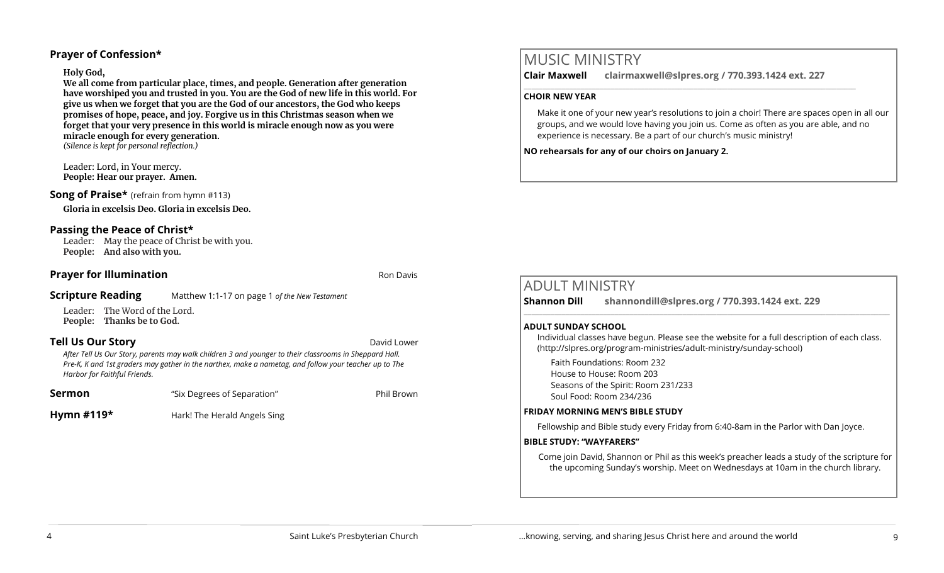# **Prayer of Confession\***

### **Holy God,**

**We all come from particular place, times, and people. Generation after generation have worshiped you and trusted in you. You are the God of new life in this world. For give us when we forget that you are the God of our ancestors, the God who keeps promises of hope, peace, and joy. Forgive us in this Christmas season when we forget that your very presence in this world is miracle enough now as you were miracle enough for every generation.**  *(Silence is kept for personal reflection.)*

Leader: Lord, in Your mercy. **People: Hear our prayer. Amen.**

## **Song of Praise\*** (refrain from hymn #113)

**Gloria in excelsis Deo. Gloria in excelsis Deo.**

# **Passing the Peace of Christ\***

Leader: May the peace of Christ be with you. **People: And also with you.** 

## **Prayer for Illumination Routing Community Community** Ron Davis

# **Scripture Reading** Matthew 1:1-17 on page 1 *of the New Testament*

Leader: The Word of the Lord. **People: Thanks be to God.** 

# **Tell Us Our Story David Lower** *David Lower* **<b>David Lower David Lower David Lower**

*After Tell Us Our Story, parents may walk children 3 and younger to their classrooms in Sheppard Hall. Pre-K, K and 1st graders may gather in the narthex, make a nametag, and follow your teacher up to The Harbor for Faithful Friends.*

| Sermon | "Six Degrees of Separation" | Phil Brown |
|--------|-----------------------------|------------|
| ____   |                             |            |

**Hymn #119\*** Hark! The Herald Angels Sing

# MUSIC MINISTRY

**Clair Maxwell clairmaxwell@slpres.org / 770.393.1424 ext. 227**   $\_$  ,  $\_$  ,  $\_$  ,  $\_$  ,  $\_$  ,  $\_$  ,  $\_$  ,  $\_$  ,  $\_$  ,  $\_$  ,  $\_$  ,  $\_$  ,  $\_$  ,  $\_$  ,  $\_$  ,  $\_$  ,  $\_$  ,  $\_$ 

## **CHOIR NEW YEAR**

Make it one of your new year's resolutions to join a choir! There are spaces open in all our groups, and we would love having you join us. Come as often as you are able, and no experience is necessary. Be a part of our church's music ministry!

**NO rehearsals for any of our choirs on January 2.**

# ADULT MINISTRY

**Shannon Dill shannondill@slpres.org / 770.393.1424 ext. 229** 

#### **ADULT SUNDAY SCHOOL**

Individual classes have begun. Please see the website for a full description of each class. (http://slpres.org/program-ministries/adult-ministry/sunday-school)

 $\_$  ,  $\_$  ,  $\_$  ,  $\_$  ,  $\_$  ,  $\_$  ,  $\_$  ,  $\_$  ,  $\_$  ,  $\_$  ,  $\_$  ,  $\_$  ,  $\_$  ,  $\_$  ,  $\_$  ,  $\_$  ,  $\_$  ,  $\_$  ,  $\_$ 

Faith Foundations: Room 232 House to House: Room 203 Seasons of the Spirit: Room 231/233 Soul Food: Room 234/236

#### **FRIDAY MORNING MEN'S BIBLE STUDY**

Fellowship and Bible study every Friday from 6:40-8am in the Parlor with Dan Joyce.

#### **BIBLE STUDY: "WAYFARERS"**

Come join David, Shannon or Phil as this week's preacher leads a study of the scripture for the upcoming Sunday's worship. Meet on Wednesdays at 10am in the church library.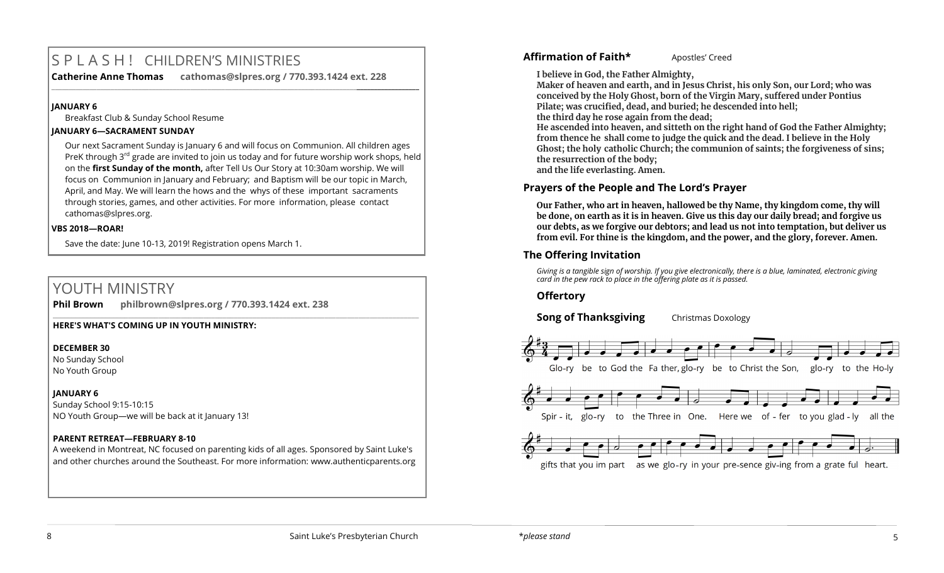# S P L A S H ! CHILDREN'S MINISTRIES

**Catherine Anne Thomas cathomas@slpres.org / 770.393.1424 ext. 228 \_\_\_\_\_\_\_\_\_\_\_\_\_\_\_\_\_\_\_\_\_\_\_\_\_\_\_\_\_\_\_\_\_\_\_\_\_\_\_\_\_\_\_\_\_\_\_\_\_\_\_\_\_\_\_\_\_\_\_\_\_\_\_\_\_\_\_\_\_\_\_\_\_\_\_\_\_\_\_\_\_\_\_\_\_\_\_\_\_\_\_\_\_\_\_\_\_\_\_\_\_\_\_\_\_\_** 

#### **JANUARY 6**

Breakfast Club & Sunday School Resume

#### **JANUARY 6—SACRAMENT SUNDAY**

Our next Sacrament Sunday is January 6 and will focus on Communion. All children ages PreK through  $3^{rd}$  grade are invited to join us today and for future worship work shops, held on the **first Sunday of the month,** after Tell Us Our Story at 10:30am worship. We will focus on Communion in January and February; and Baptism will be our topic in March, April, and May. We will learn the hows and the whys of these important sacraments through stories, games, and other activities. For more information, please contact [cathomas@slpres.org.](mailto:cathomas@slpres.org) 

#### **VBS 2018—ROAR!**

Save the date: June 10-13, 2019! Registration opens March 1.

# YOUTH MINISTRY

**Phil Brown philbrown@slpres.org / 770.393.1424 ext. 238** 

#### **HERE'S WHAT'S COMING UP IN YOUTH MINISTRY:**

#### **DECEMBER 30**

No Sunday School No Youth Group

#### **JANUARY 6**

Sunday School 9:15-10:15 NO Youth Group—we will be back at it January 13!

#### **PARENT RETREAT—FEBRUARY 8-10**

A weekend in Montreat, NC focused on parenting kids of all ages. Sponsored by Saint Luke's and other churches around the Southeast. For more information: [www.authenticparents.org](http://www.authenticparents.org)

 $\_$  , and the set of the set of the set of the set of the set of the set of the set of the set of the set of the set of the set of the set of the set of the set of the set of the set of the set of the set of the set of th

#### Affirmation of Faith\* Apostles' Creed

**I believe in God, the Father Almighty,**

**Maker of heaven and earth, and in Jesus Christ, his only Son, our Lord; who was conceived by the Holy Ghost, born of the Virgin Mary, suffered under Pontius Pilate; was crucified, dead, and buried; he descended into hell; the third day he rose again from the dead;**

**He ascended into heaven, and sitteth on the right hand of God the Father Almighty; from thence he shall come to judge the quick and the dead. I believe in the Holy Ghost; the holy catholic Church; the communion of saints; the forgiveness of sins; the resurrection of the body; and the life everlasting. Amen.**

#### **Prayers of the People and The Lord's Prayer**

**Our Father, who art in heaven, hallowed be thy Name, thy kingdom come, thy will be done, on earth as it is in heaven. Give us this day our daily bread; and forgive us our debts, as we forgive our debtors; and lead us not into temptation, but deliver us from evil. For thine is the kingdom, and the power, and the glory, forever. Amen.**

#### **The Offering Invitation**

*Giving is a tangible sign of worship. If you give electronically, there is a blue, laminated, electronic giving card in the pew rack to place in the offering plate as it is passed.*

#### **Offertory**

**Song of Thanksgiving** Christmas Doxology



gifts that you im part as we glo-ry in your pre-sence giv-ing from a grate ful heart.